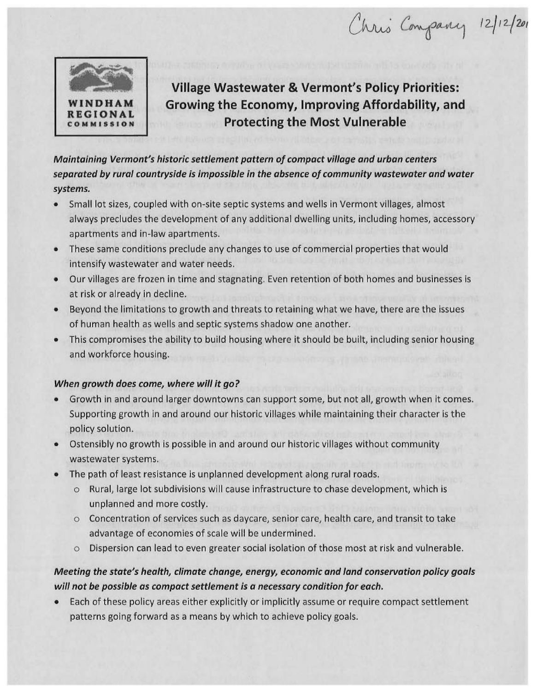Chris Company 12/12/201



**Village Wastewater & Vermont's Policy Priorities: Growing the Economy, Improving Affordability, and Protecting the Most Vulnerable** 

*Maintaining Vermont's historic settlement pattern of compact village and urban centers separated by rural countryside is impossible in the absence of community wastewater and water systems.* 

- Small lot sizes, coupled with on-site septic systems and wells in Vermont villages, almost always precludes the development of any additional dwelling units, including homes, accessory apartments and in-law apartments.
- These same conditions preclude any changes to use of commercial properties that would intensify wastewater and water needs.
- Our villages are frozen in time and stagnating. Even retention of both homes and businesses is at risk or already in decline.
- Beyond the limitations to growth and threats to retaining what we have, there are the issues of human health as wells and septic systems shadow one another.
- This compromises the ability to build housing where it should be built, including senior housing and workforce housing.

## *When growth does come, where will it go?*

- Growth in and around larger downtowns can support some, but not all, growth when it comes. Supporting growth in and around our historic villages while maintaining their character is the policy solution.
- Ostensibly no growth is possible in and around our historic villages without community wastewater systems.
- The path of least resistance is unplanned development along rural roads.
	- o Rural, large lot subdivisions will cause infrastructure to chase development, which is unplanned and more costly.
	- o Concentration of services such as daycare, senior care, health care, and transit to take advantage of economies of scale will be undermined.
	- o Dispersion can lead to even greater social isolation of those most at risk and vulnerable.

## *Meeting the state's health, climate change, energy, economic and land conservation policy goals will not be possible as compact settlement is a necessary condition for each.*

• Each of these policy areas either explicitly or implicitly assume or require compact settlement patterns going forward as a means by which to achieve policy goals.